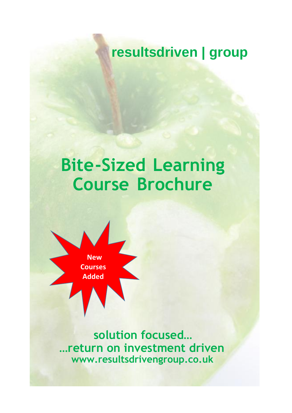## **resultsdriven | group**

# **Bite-Sized Learning Course Brochure**



**solution focused… …return on investment driven www.resultsdrivengroup.co.uk**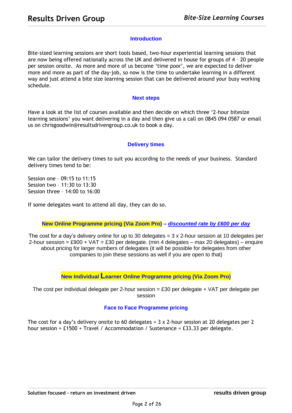#### **Introduction**

Bite-sized learning sessions are short tools based, two-hour experiential learning sessions that are now being offered nationally across the UK and delivered in house for groups of 4 – 20 people per session onsite. As more and more of us become 'time poor', we are expected to deliver more and more as part of the day-job, so now is the time to undertake learning in a different way and just attend a bite size learning session that can be delivered around your busy working schedule.

#### **Next steps**

Have a look at the list of courses available and then decide on which three '2-hour bitesize learning sessions' you want delivering in a day and then give us a call on 0845 094 0587 or email us on chrisgoodwin@resultsdrivengroup.co.uk to book a day.

#### **Delivery times**

We can tailor the delivery times to suit you according to the needs of your business. Standard delivery times tend to be:

Session one – 09:15 to 11:15 Session two – 11:30 to 13:30 Session three – 14:00 to 16:00

If some delegates want to attend all day, they can do so.

**New Online Programme pricing (Via Zoom Pro) –** *discounted rate by £600 per day*

The cost for a day's delivery online for up to 30 delegates = 3 x 2-hour session at 10 delegates per 2-hour session = £900 + VAT = £30 per delegate. (min 4 delegates – max 20 delegates) – enquire about pricing for larger numbers of delegates (it will be possible for delegates from other companies to join these sessions as well if you are open to that)

**New Individual Learner Online Programme pricing (Via Zoom Pro)**

The cost per individual delegate per 2-hour session  $=$  £30 per delegate + VAT per delegate per session

#### **Face to Face Programme pricing**

The cost for a day's delivery onsite to 60 delegates =  $3 \times 2$ -hour session at 20 delegates per 2 hour session = £1500 + Travel / Accommodation / Sustenance = £33.33 per delegate.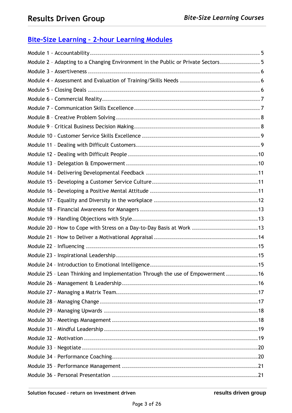### **Bite-Size Learning – 2-hour Learning Modules**

| Module 2 - Adapting to a Changing Environment in the Public or Private Sectors 5 |
|----------------------------------------------------------------------------------|
|                                                                                  |
|                                                                                  |
|                                                                                  |
|                                                                                  |
|                                                                                  |
|                                                                                  |
|                                                                                  |
|                                                                                  |
|                                                                                  |
|                                                                                  |
|                                                                                  |
|                                                                                  |
|                                                                                  |
|                                                                                  |
|                                                                                  |
|                                                                                  |
|                                                                                  |
| Module 20 - How to Cope with Stress on a Day-to-Day Basis at Work 13             |
|                                                                                  |
|                                                                                  |
|                                                                                  |
|                                                                                  |
| Module 25 - Lean Thinking and Implementation Through the use of Empowerment16    |
|                                                                                  |
|                                                                                  |
|                                                                                  |
|                                                                                  |
|                                                                                  |
|                                                                                  |
|                                                                                  |
|                                                                                  |
|                                                                                  |
|                                                                                  |
|                                                                                  |
|                                                                                  |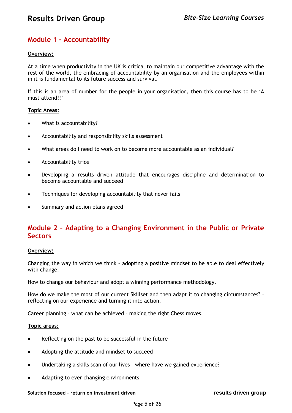### <span id="page-4-0"></span>**Module 1 - Accountability**

#### **Overview:**

At a time when productivity in the UK is critical to maintain our competitive advantage with the rest of the world, the embracing of accountability by an organisation and the employees within in it is fundamental to its future success and survival.

If this is an area of number for the people in your organisation, then this course has to be 'A must attend!!'

#### **Topic Areas:**

- What is accountability?
- Accountability and responsibility skills assessment
- What areas do I need to work on to become more accountable as an individual?
- Accountability trios
- Developing a results driven attitude that encourages discipline and determination to become accountable and succeed
- Techniques for developing accountability that never fails
- Summary and action plans agreed

### <span id="page-4-1"></span>**Module 2 – Adapting to a Changing Environment in the Public or Private Sectors**

#### **Overview:**

Changing the way in which we think – adopting a positive mindset to be able to deal effectively with change.

How to change our behaviour and adopt a winning performance methodology.

How do we make the most of our current Skillset and then adapt it to changing circumstances? – reflecting on our experience and turning it into action.

Career planning – what can be achieved – making the right Chess moves.

- Reflecting on the past to be successful in the future
- Adopting the attitude and mindset to succeed
- Undertaking a skills scan of our lives where have we gained experience?
- Adapting to ever changing environments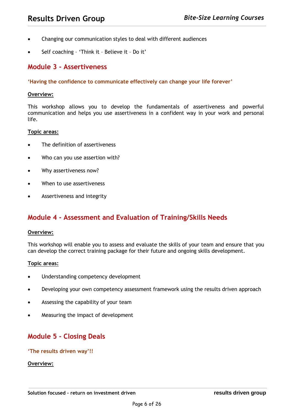- Changing our communication styles to deal with different audiences
- Self coaching 'Think it Believe it Do it'

### <span id="page-5-0"></span>**Module 3 - Assertiveness**

#### **'Having the confidence to communicate effectively can change your life forever'**

#### **Overview:**

This workshop allows you to develop the fundamentals of assertiveness and powerful communication and helps you use assertiveness in a confident way in your work and personal life.

#### **Topic areas:**

- The definition of assertiveness
- Who can you use assertion with?
- Why assertiveness now?
- When to use assertiveness
- Assertiveness and integrity

### <span id="page-5-1"></span>**Module 4 - Assessment and Evaluation of Training/Skills Needs**

#### **Overview:**

This workshop will enable you to assess and evaluate the skills of your team and ensure that you can develop the correct training package for their future and ongoing skills development.

#### **Topic areas:**

- Understanding competency development
- Developing your own competency assessment framework using the results driven approach
- Assessing the capability of your team
- Measuring the impact of development

### <span id="page-5-2"></span>**Module 5 - Closing Deals**

#### **'The results driven way'!!**

#### **Overview:**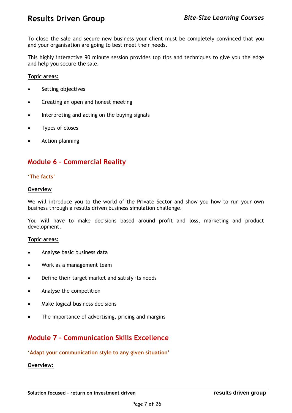To close the sale and secure new business your client must be completely convinced that you and your organisation are going to best meet their needs.

This highly interactive 90 minute session provides top tips and techniques to give you the edge and help you secure the sale.

#### **Topic areas:**

- Setting objectives
- Creating an open and honest meeting
- Interpreting and acting on the buying signals
- Types of closes
- Action planning

### <span id="page-6-0"></span>**Module 6 - Commercial Reality**

#### **'The facts'**

#### **Overview**

We will introduce you to the world of the Private Sector and show you how to run your own business through a results driven business simulation challenge.

You will have to make decisions based around profit and loss, marketing and product development.

#### **Topic areas:**

- Analyse basic business data
- Work as a management team
- Define their target market and satisfy its needs
- Analyse the competition
- Make logical business decisions
- The importance of advertising, pricing and margins

### <span id="page-6-1"></span>**Module 7 - Communication Skills Excellence**

#### **'Adapt your communication style to any given situation'**

#### **Overview:**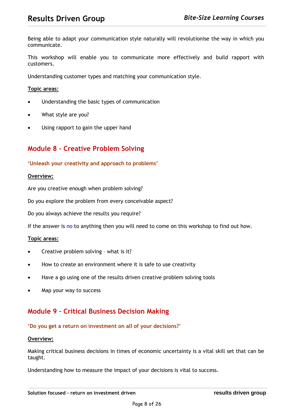Being able to adapt your communication style naturally will revolutionise the way in which you communicate.

This workshop will enable you to communicate more effectively and build rapport with customers.

Understanding customer types and matching your communication style.

#### **Topic areas:**

- Understanding the basic types of communication
- What style are you?
- Using rapport to gain the upper hand

### <span id="page-7-0"></span>**Module 8 – Creative Problem Solving**

#### **'Unleash your creativity and approach to problems'**

#### **Overview:**

Are you creative enough when problem solving?

Do you explore the problem from every conceivable aspect?

Do you always achieve the results you require?

If the answer is no to anything then you will need to come on this workshop to find out how.

#### **Topic areas:**

- Creative problem solving what is it?
- How to create an environment where it is safe to use creativity
- Have a go using one of the results driven creative problem solving tools
- Map your way to success

### <span id="page-7-1"></span>**Module 9 – Critical Business Decision Making**

#### **'Do you get a return on investment on all of your decisions?'**

#### **Overview:**

Making critical business decisions in times of economic uncertainty is a vital skill set that can be taught.

Understanding how to measure the impact of your decisions is vital to success.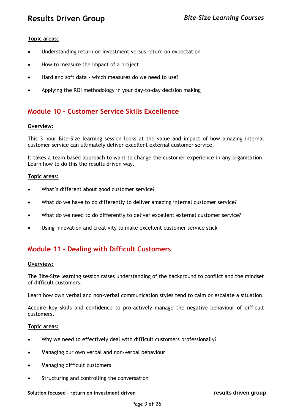#### **Topic areas:**

- Understanding return on investment versus return on expectation
- How to measure the impact of a project
- Hard and soft data which measures do we need to use?
- Applying the ROI methodology in your day-to-day decision making

### <span id="page-8-0"></span>**Module 10 - Customer Service Skills Excellence**

#### **Overview:**

This 3 hour Bite-Size learning session looks at the value and impact of how amazing internal customer service can ultimately deliver excellent external customer service.

It takes a team based approach to want to change the customer experience in any organisation. Learn how to do this the results driven way.

#### **Topic areas:**

- What's different about good customer service?
- What do we have to do differently to deliver amazing internal customer service?
- What do we need to do differently to deliver excellent external customer service?
- Using innovation and creativity to make excellent customer service stick

### <span id="page-8-1"></span>**Module 11 – Dealing with Difficult Customers**

#### **Overview:**

The Bite-Size learning session raises understanding of the background to conflict and the mindset of difficult customers.

Learn how own verbal and non-verbal communication styles tend to calm or escalate a situation.

Acquire key skills and confidence to pro-actively manage the negative behaviour of difficult customers.

- Why we need to effectively deal with difficult customers professionally?
- Managing our own verbal and non-verbal behaviour
- Managing difficult customers
- Structuring and controlling the conversation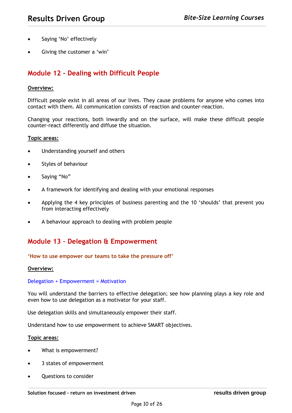- Saying 'No' effectively
- Giving the customer a 'win'

### <span id="page-9-0"></span>**Module 12 - Dealing with Difficult People**

#### **Overview:**

Difficult people exist in all areas of our lives. They cause problems for anyone who comes into contact with them. All communication consists of reaction and counter-reaction.

Changing your reactions, both inwardly and on the surface, will make these difficult people counter-react differently and diffuse the situation.

#### **Topic areas:**

- Understanding yourself and others
- Styles of behaviour
- Saying "No"
- A framework for identifying and dealing with your emotional responses
- Applying the 4 key principles of business parenting and the 10 'shoulds' that prevent you from interacting effectively
- A behaviour approach to dealing with problem people

### <span id="page-9-1"></span>**Module 13 – Delegation & Empowerment**

#### **'How to use empower our teams to take the pressure off'**

#### **Overview:**

#### Delegation + Empowerment = Motivation

You will understand the barriers to effective delegation; see how planning plays a key role and even how to use delegation as a motivator for your staff.

Use delegation skills and simultaneously empower their staff.

Understand how to use empowerment to achieve SMART objectives.

- What is empowerment?
- 3 states of empowerment
- Questions to consider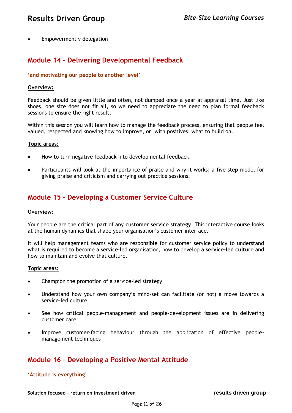Empowerment v delegation

### <span id="page-10-0"></span>**Module 14 – Delivering Developmental Feedback**

#### **'and motivating our people to another level'**

#### **Overview:**

Feedback should be given little and often, not dumped once a year at appraisal time. Just like shoes, one size does not fit all, so we need to appreciate the need to plan formal feedback sessions to ensure the right result.

Within this session you will learn how to manage the feedback process, ensuring that people feel valued, respected and knowing how to improve, or, with positives, what to build on.

#### **Topic areas:**

- How to turn negative feedback into developmental feedback.
- Participants will look at the importance of praise and why it works; a five step model for giving praise and criticism and carrying out practice sessions.

### <span id="page-10-1"></span>**Module 15 – Developing a Customer Service Culture**

#### **Overview:**

Your people are the critical part of any **customer service strategy**. This interactive course looks at the human dynamics that shape your organisation's customer interface.

It will help management teams who are responsible for customer service policy to understand what is required to become a service-led organisation, how to develop a **service-led culture** and how to maintain and evolve that culture.

#### **Topic areas:**

- Champion the promotion of a service-led strategy
- Understand how your own company's mind-set can facilitate (or not) a move towards a service-led culture
- See how critical people-management and people-development issues are in delivering customer care
- Improve customer-facing behaviour through the application of effective peoplemanagement techniques

### <span id="page-10-2"></span>**Module 16 – Developing a Positive Mental Attitude**

**'Attitude is everything'**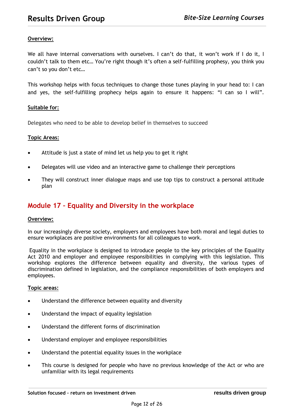#### **Overview:**

We all have internal conversations with ourselves. I can't do that, it won't work if I do it, I couldn't talk to them etc… You're right though it's often a self-fulfilling prophesy, you think you can't so you don't etc…

This workshop helps with focus techniques to change those tunes playing in your head to: I can and yes, the self-fulfilling prophecy helps again to ensure it happens: "I can so I will".

#### **Suitable for:**

Delegates who need to be able to develop belief in themselves to succeed

#### **Topic Areas:**

- Attitude is just a state of mind let us help you to get it right
- Delegates will use video and an interactive game to challenge their perceptions
- They will construct inner dialogue maps and use top tips to construct a personal attitude plan

### <span id="page-11-0"></span>**Module 17 – Equality and Diversity in the workplace**

#### **Overview:**

In our increasingly diverse society, employers and employees have both moral and legal duties to ensure workplaces are positive environments for all colleagues to work.

Equality in the workplace is designed to introduce people to the key principles of the Equality Act 2010 and employer and employee responsibilities in complying with this legislation. This workshop explores the difference between equality and diversity, the various types of discrimination defined in legislation, and the compliance responsibilities of both employers and employees.

- Understand the difference between equality and diversity
- Understand the impact of equality legislation
- Understand the different forms of discrimination
- Understand employer and employee responsibilities
- Understand the potential equality issues in the workplace
- This course is designed for people who have no previous knowledge of the Act or who are unfamiliar with its legal requirements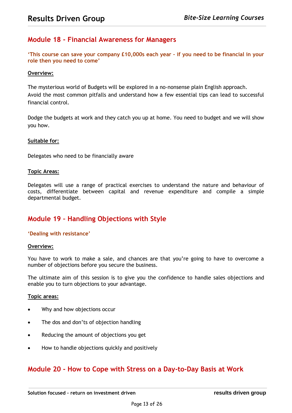### <span id="page-12-0"></span>**Module 18 - Financial Awareness for Managers**

**'This course can save your company £10,000s each year – if you need to be financial in your role then you need to come'**

#### **Overview:**

The mysterious world of Budgets will be explored in a no-nonsense plain English approach. Avoid the most common pitfalls and understand how a few essential tips can lead to successful financial control.

Dodge the budgets at work and they catch you up at home. You need to budget and we will show you how.

#### **Suitable for:**

Delegates who need to be financially aware

#### **Topic Areas:**

Delegates will use a range of practical exercises to understand the nature and behaviour of costs, differentiate between capital and revenue expenditure and compile a simple departmental budget.

### <span id="page-12-1"></span>**Module 19 – Handling Objections with Style**

#### **'Dealing with resistance'**

#### **Overview:**

You have to work to make a sale, and chances are that you're going to have to overcome a number of objections before you secure the business.

The ultimate aim of this session is to give you the confidence to handle sales objections and enable you to turn objections to your advantage.

#### **Topic areas:**

- Why and how objections occur
- The dos and don'ts of objection handling
- Reducing the amount of objections you get
- How to handle objections quickly and positively

### <span id="page-12-2"></span>**Module 20 - How to Cope with Stress on a Day-to-Day Basis at Work**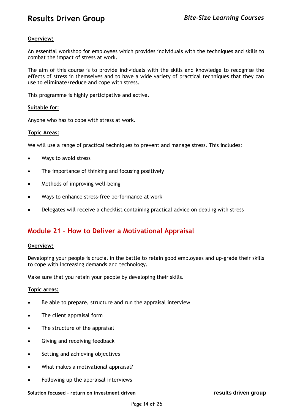#### **Overview:**

An essential workshop for employees which provides individuals with the techniques and skills to combat the impact of stress at work.

The aim of this course is to provide individuals with the skills and knowledge to recognise the effects of stress in themselves and to have a wide variety of practical techniques that they can use to eliminate/reduce and cope with stress.

This programme is highly participative and active.

#### **Suitable for:**

Anyone who has to cope with stress at work.

#### **Topic Areas:**

We will use a range of practical techniques to prevent and manage stress. This includes:

- Ways to avoid stress
- The importance of thinking and focusing positively
- Methods of improving well-being
- Ways to enhance stress-free performance at work
- Delegates will receive a checklist containing practical advice on dealing with stress

### <span id="page-13-0"></span>**Module 21 – How to Deliver a Motivational Appraisal**

#### **Overview:**

Developing your people is crucial in the battle to retain good employees and up-grade their skills to cope with increasing demands and technology.

Make sure that you retain your people by developing their skills.

- Be able to prepare, structure and run the appraisal interview
- The client appraisal form
- The structure of the appraisal
- Giving and receiving feedback
- Setting and achieving objectives
- What makes a motivational appraisal?
- Following up the appraisal interviews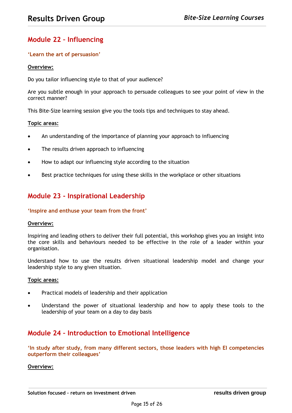### <span id="page-14-0"></span>**Module 22 – Influencing**

#### **'Learn the art of persuasion'**

#### **Overview:**

Do you tailor influencing style to that of your audience?

Are you subtle enough in your approach to persuade colleagues to see your point of view in the correct manner?

This Bite-Size learning session give you the tools tips and techniques to stay ahead.

#### **Topic areas:**

- An understanding of the importance of planning your approach to influencing
- The results driven approach to influencing
- How to adapt our influencing style according to the situation
- Best practice techniques for using these skills in the workplace or other situations

### <span id="page-14-1"></span>**Module 23 - Inspirational Leadership**

#### **'Inspire and enthuse your team from the front'**

#### **Overview:**

Inspiring and leading others to deliver their full potential, this workshop gives you an insight into the core skills and behaviours needed to be effective in the role of a leader within your organisation.

Understand how to use the results driven situational leadership model and change your leadership style to any given situation.

#### **Topic areas:**

- Practical models of leadership and their application
- Understand the power of situational leadership and how to apply these tools to the leadership of your team on a day to day basis

### <span id="page-14-2"></span>**Module 24 – Introduction to Emotional Intelligence**

**'In study after study, from many different sectors, those leaders with high EI competencies outperform their colleagues'**

#### **Overview:**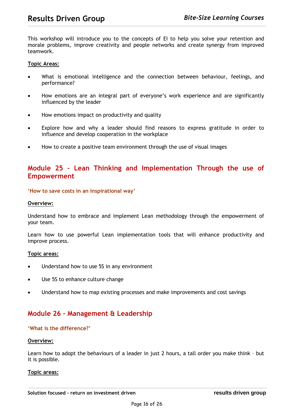This workshop will introduce you to the concepts of EI to help you solve your retention and morale problems, improve creativity and people networks and create synergy from improved teamwork.

#### **Topic Areas:**

- What is emotional intelligence and the connection between behaviour, feelings, and performance?
- How emotions are an integral part of everyone's work experience and are significantly influenced by the leader
- How emotions impact on productivity and quality
- Explore how and why a leader should find reasons to express gratitude in order to influence and develop cooperation in the workplace
- How to create a positive team environment through the use of visual images

### <span id="page-15-0"></span>**Module 25 – Lean Thinking and Implementation Through the use of Empowerment**

#### **'How to save costs in an inspirational way'**

#### **Overview:**

Understand how to embrace and implement Lean methodology through the empowerment of your team.

Learn how to use powerful Lean implementation tools that will enhance productivity and improve process.

#### **Topic areas:**

- Understand how to use 5S in any environment
- Use 5S to enhance culture change
- Understand how to map existing processes and make improvements and cost savings

### <span id="page-15-1"></span>**Module 26 – Management & Leadership**

#### **'What is the difference?'**

#### **Overview:**

Learn how to adopt the behaviours of a leader in just 2 hours, a tall order you make think – but it is possible.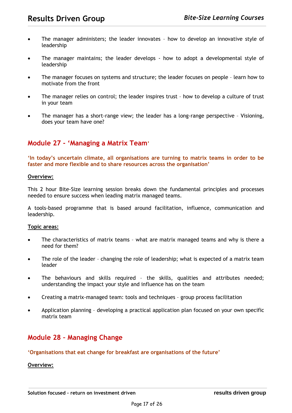- The manager administers; the leader innovates how to develop an innovative style of leadership
- The manager maintains; the leader develops how to adopt a developmental style of leadership
- The manager focuses on systems and structure; the leader focuses on people learn how to motivate from the front
- The manager relies on control; the leader inspires trust how to develop a culture of trust in your team
- The manager has a short-range view; the leader has a long-range perspective Visioning, does your team have one?

### <span id="page-16-0"></span>**Module 27 - 'Managing a Matrix Team'**

**'In today's uncertain climate, all organisations are turning to matrix teams in order to be faster and more flexible and to share resources across the organisation'**

#### **Overview:**

This 2 hour Bite-Size learning session breaks down the fundamental principles and processes needed to ensure success when leading matrix managed teams.

A tools-based programme that is based around facilitation, influence, communication and leadership.

#### **Topic areas:**

- The characteristics of matrix teams what are matrix managed teams and why is there a need for them?
- The role of the leader changing the role of leadership; what is expected of a matrix team leader
- The behaviours and skills required the skills, qualities and attributes needed; understanding the impact your style and influence has on the team
- Creating a matrix-managed team: tools and techniques group process facilitation
- Application planning developing a practical application plan focused on your own specific matrix team

### <span id="page-16-1"></span>**Module 28 – Managing Change**

#### **'Organisations that eat change for breakfast are organisations of the future'**

#### **Overview:**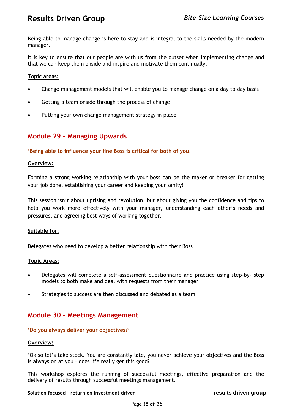Being able to manage change is here to stay and is integral to the skills needed by the modern manager.

It is key to ensure that our people are with us from the outset when implementing change and that we can keep them onside and inspire and motivate them continually.

#### **Topic areas:**

- Change management models that will enable you to manage change on a day to day basis
- Getting a team onside through the process of change
- Putting your own change management strategy in place

### <span id="page-17-0"></span>**Module 29 – Managing Upwards**

#### **'Being able to influence your line Boss is critical for both of you!**

#### **Overview:**

Forming a strong working relationship with your boss can be the maker or breaker for getting your job done, establishing your career and keeping your sanity!

This session isn't about uprising and revolution, but about giving you the confidence and tips to help you work more effectively with your manager, understanding each other's needs and pressures, and agreeing best ways of working together.

#### **Suitable for:**

Delegates who need to develop a better relationship with their Boss

#### **Topic Areas:**

- Delegates will complete a self-assessment questionnaire and practice using step-by- step models to both make and deal with requests from their manager
- Strategies to success are then discussed and debated as a team

### <span id="page-17-1"></span>**Module 30 – Meetings Management**

#### **'Do you always deliver your objectives?'**

#### **Overview:**

'Ok so let's take stock. You are constantly late, you never achieve your objectives and the Boss is always on at you – does life really get this good?

This workshop explores the running of successful meetings, effective preparation and the delivery of results through successful meetings management.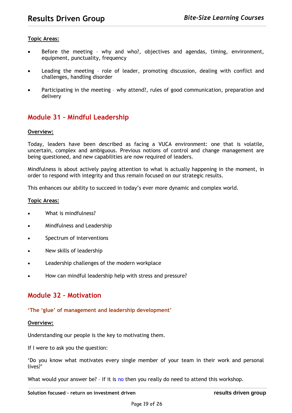#### **Topic Areas:**

- Before the meeting why and who?, objectives and agendas, timing, environment, equipment, punctuality, frequency
- Leading the meeting role of leader, promoting discussion, dealing with conflict and challenges, handling disorder
- Participating in the meeting why attend?, rules of good communication, preparation and delivery

### <span id="page-18-0"></span>**Module 31 – Mindful Leadership**

#### **Overview:**

Today, leaders have been described as facing a VUCA environment: one that is volatile, uncertain, complex and ambiguous. Previous notions of control and change management are being questioned, and new capabilities are now required of leaders.

Mindfulness is about actively paying attention to what is actually happening in the moment, in order to respond with integrity and thus remain focused on our strategic results.

This enhances our ability to succeed in today's ever more dynamic and complex world.

#### **Topic Areas:**

- What is mindfulness?
- Mindfulness and Leadership
- Spectrum of interventions
- New skills of leadership
- Leadership challenges of the modern workplace
- How can mindful leadership help with stress and pressure?

### <span id="page-18-1"></span>**Module 32 – Motivation**

#### **'The 'glue' of management and leadership development'**

#### **Overview:**

Understanding our people is the key to motivating them.

If I were to ask you the question:

'Do you know what motivates every single member of your team in their work and personal lives?'

What would your answer be? - If it is no then you really do need to attend this workshop.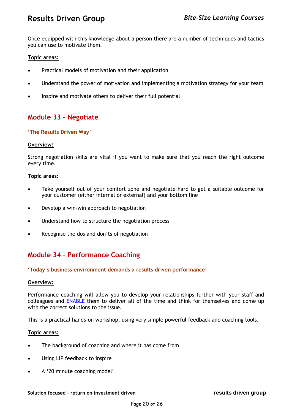Once equipped with this knowledge about a person there are a number of techniques and tactics you can use to motivate them.

#### **Topic areas:**

- Practical models of motivation and their application
- Understand the power of motivation and implementing a motivation strategy for your team
- Inspire and motivate others to deliver their full potential

### <span id="page-19-0"></span>**Module 33 – Negotiate**

#### **'The Results Driven Way'**

#### **Overview:**

Strong negotiation skills are vital if you want to make sure that you reach the right outcome every time.

#### **Topic areas:**

- Take yourself out of your comfort zone and negotiate hard to get a suitable outcome for your customer (either internal or external) and your bottom line
- Develop a win-win approach to negotiation
- Understand how to structure the negotiation process
- Recognise the dos and don'ts of negotiation

### <span id="page-19-1"></span>**Module 34 – Performance Coaching**

#### **'Today's business environment demands a results driven performance'**

#### **Overview:**

Performance coaching will allow you to develop your relationships further with your staff and colleagues and ENABLE them to deliver all of the time and think for themselves and come up with the correct solutions to the issue.

This is a practical hands-on workshop, using very simple powerful feedback and coaching tools.

- The background of coaching and where it has come from
- Using LIP feedback to inspire
- A '20 minute coaching model'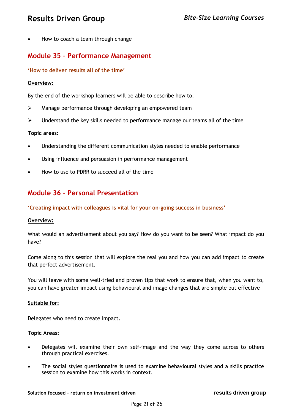• How to coach a team through change

### <span id="page-20-0"></span>**Module 35 – Performance Management**

#### **'How to deliver results all of the time'**

#### **Overview:**

By the end of the workshop learners will be able to describe how to:

- ➢ Manage performance through developing an empowered team
- ➢ Understand the key skills needed to performance manage our teams all of the time

#### **Topic areas:**

- Understanding the different communication styles needed to enable performance
- Using influence and persuasion in performance management
- How to use to PDRR to succeed all of the time

### <span id="page-20-1"></span>**Module 36 - Personal Presentation**

#### **'Creating impact with colleagues is vital for your on-going success in business'**

#### **Overview:**

What would an advertisement about you say? How do you want to be seen? What impact do you have?

Come along to this session that will explore the real you and how you can add impact to create that perfect advertisement.

You will leave with some well-tried and proven tips that work to ensure that, when you want to, you can have greater impact using behavioural and image changes that are simple but effective

#### **Suitable for:**

Delegates who need to create impact.

- Delegates will examine their own self-image and the way they come across to others through practical exercises.
- The social styles questionnaire is used to examine behavioural styles and a skills practice session to examine how this works in context.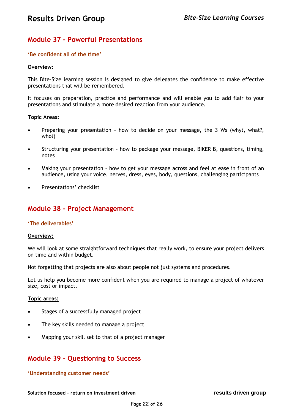### <span id="page-21-0"></span>**Module 37 - Powerful Presentations**

#### **'Be confident all of the time'**

#### **Overview:**

This Bite-Size learning session is designed to give delegates the confidence to make effective presentations that will be remembered.

It focuses on preparation, practice and performance and will enable you to add flair to your presentations and stimulate a more desired reaction from your audience.

#### **Topic Areas:**

- Preparing your presentation how to decide on your message, the 3 Ws (why?, what?, who?)
- Structuring your presentation how to package your message, BIKER B, questions, timing, notes
- Making your presentation how to get your message across and feel at ease in front of an audience, using your voice, nerves, dress, eyes, body, questions, challenging participants
- Presentations' checklist

### <span id="page-21-1"></span>**Module 38 - Project Management**

#### **'The deliverables'**

#### **Overview:**

We will look at some straightforward techniques that really work, to ensure your project delivers on time and within budget.

Not forgetting that projects are also about people not just systems and procedures.

Let us help you become more confident when you are required to manage a project of whatever size, cost or impact.

#### **Topic areas:**

- Stages of a successfully managed project
- The key skills needed to manage a project
- Mapping your skill set to that of a project manager

### <span id="page-21-2"></span>**Module 39 - Questioning to Success**

#### **'Understanding customer needs'**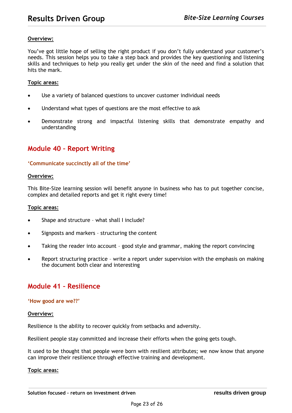#### **Overview:**

You've got little hope of selling the right product if you don't fully understand your customer's needs. This session helps you to take a step back and provides the key questioning and listening skills and techniques to help you really get under the skin of the need and find a solution that hits the mark.

#### **Topic areas:**

- Use a variety of balanced questions to uncover customer individual needs
- Understand what types of questions are the most effective to ask
- Demonstrate strong and impactful listening skills that demonstrate empathy and understanding

### <span id="page-22-0"></span>**Module 40 – Report Writing**

#### **'Communicate succinctly all of the time'**

#### **Overview:**

This Bite-Size learning session will benefit anyone in business who has to put together concise, complex and detailed reports and get it right every time!

#### **Topic areas:**

- Shape and structure what shall I include?
- Signposts and markers structuring the content
- Taking the reader into account good style and grammar, making the report convincing
- Report structuring practice write a report under supervision with the emphasis on making the document both clear and interesting

### <span id="page-22-1"></span>**Module 41 – Resilience**

#### **'How good are we??'**

#### **Overview:**

Resilience is the ability to recover quickly from setbacks and adversity.

Resilient people stay committed and increase their efforts when the going gets tough.

It used to be thought that people were born with resilient attributes; we now know that anyone can improve their resilience through effective training and development.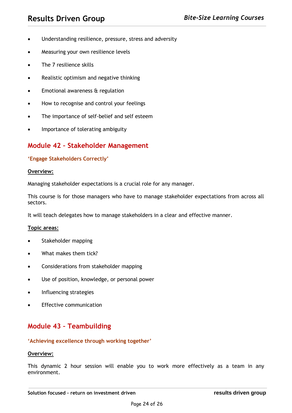- Understanding resilience, pressure, stress and adversity
- Measuring your own resilience levels
- The 7 resilience skills
- Realistic optimism and negative thinking
- Emotional awareness & regulation
- How to recognise and control your feelings
- The importance of self-belief and self esteem
- Importance of tolerating ambiguity

### <span id="page-23-0"></span>**Module 42 – Stakeholder Management**

#### **'Engage Stakeholders Correctly'**

#### **Overview:**

Managing stakeholder expectations is a crucial role for any manager.

This course is for those managers who have to manage stakeholder expectations from across all sectors.

It will teach delegates how to manage stakeholders in a clear and effective manner.

#### **Topic areas:**

- Stakeholder mapping
- What makes them tick?
- Considerations from stakeholder mapping
- Use of position, knowledge, or personal power
- Influencing strategies
- **Effective communication**

### <span id="page-23-1"></span>**Module 43 – Teambuilding**

#### **'Achieving excellence through working together'**

#### **Overview:**

This dynamic 2 hour session will enable you to work more effectively as a team in any environment.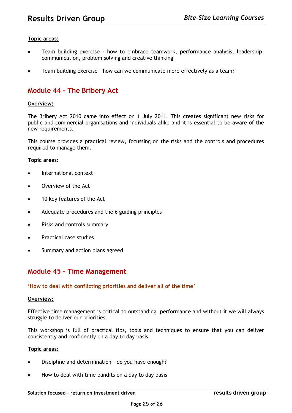#### **Topic areas:**

- Team building exercise how to embrace teamwork, performance analysis, leadership, communication, problem solving and creative thinking
- Team building exercise how can we communicate more effectively as a team?

### <span id="page-24-0"></span>**Module 44 – The Bribery Act**

#### **Overview:**

The Bribery Act 2010 came into effect on 1 July 2011. This creates significant new risks for public and commercial organisations and individuals alike and it is essential to be aware of the new requirements.

This course provides a practical review, focussing on the risks and the controls and procedures required to manage them.

#### **Topic areas:**

- International context
- Overview of the Act
- 10 key features of the Act
- Adequate procedures and the 6 guiding principles
- Risks and controls summary
- Practical case studies
- Summary and action plans agreed

### <span id="page-24-1"></span>**Module 45 – Time Management**

#### **'How to deal with conflicting priorities and deliver all of the time'**

#### **Overview:**

Effective time management is critical to outstanding performance and without it we will always struggle to deliver our priorities.

This workshop is full of practical tips, tools and techniques to ensure that you can deliver consistently and confidently on a day to day basis.

- Discipline and determination do you have enough?
- How to deal with time bandits on a day to day basis